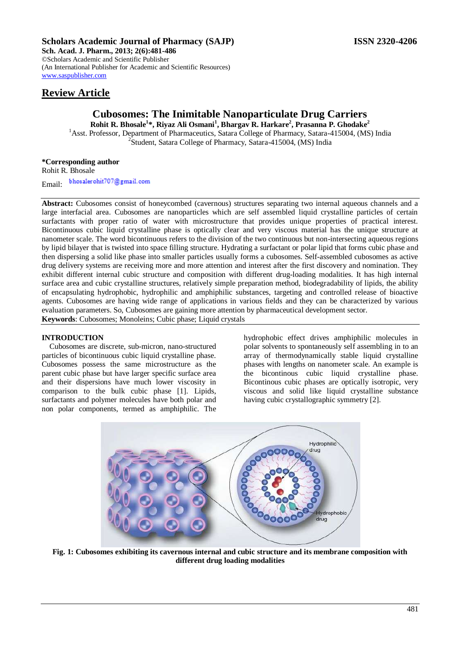# **Scholars Academic Journal of Pharmacy (SAJP) ISSN 2320-4206**

**Sch. Acad. J. Pharm., 2013; 2(6):481-486** ©Scholars Academic and Scientific Publisher (An International Publisher for Academic and Scientific Resources) [www.saspublisher.com](http://www.saspublisher.com/) 

# **Review Article**

# **Cubosomes: The Inimitable Nanoparticulate Drug Carriers**

**Rohit R. Bhosale<sup>1</sup> \*, Riyaz Ali Osmani<sup>1</sup> , Bhargav R. Harkare<sup>2</sup> , Prasanna P. Ghodake<sup>2</sup>** <sup>1</sup>Asst. Professor, Department of Pharmaceutics, Satara College of Pharmacy, Satara-415004, (MS) India <sup>2</sup>Student, Satara College of Pharmacy, Satara-415004, (MS) India

## **\*Corresponding author**

Rohit R. Bhosale

bhosaler ohit707@gmail.com Email:

**Abstract:** Cubosomes consist of honeycombed (cavernous) structures separating two internal aqueous channels and a large interfacial area. Cubosomes are nanoparticles which are self assembled liquid crystalline particles of certain surfactants with proper ratio of water with microstructure that provides unique properties of practical interest. Bicontinuous cubic liquid crystalline phase is optically clear and very viscous material has the unique structure at nanometer scale. The word bicontinuous refers to the division of the two continuous but non-intersecting aqueous regions by lipid bilayer that is twisted into space filling structure. Hydrating a surfactant or polar lipid that forms cubic phase and then dispersing a solid like phase into smaller particles usually forms a cubosomes. Self-assembled cubosomes as active drug delivery systems are receiving more and more attention and interest after the first discovery and nomination. They exhibit different internal cubic structure and composition with different drug-loading modalities. It has high internal surface area and cubic crystalline structures, relatively simple preparation method, biodegradability of lipids, the ability of encapsulating hydrophobic, hydrophilic and amphiphilic substances, targeting and controlled release of bioactive agents. Cubosomes are having wide range of applications in various fields and they can be characterized by various evaluation parameters. So, Cubosomes are gaining more attention by pharmaceutical development sector. **Keywords**: Cubosomes; Monoleins; Cubic phase; Liquid crystals

## **INTRODUCTION**

Cubosomes are discrete, sub-micron, nano-structured particles of bicontinuous cubic liquid crystalline phase. Cubosomes possess the same microstructure as the parent cubic phase but have larger specific surface area and their dispersions have much lower viscosity in comparison to the bulk cubic phase [1]. Lipids, surfactants and polymer molecules have both polar and non polar components, termed as amphiphilic. The hydrophobic effect drives amphiphilic molecules in polar solvents to spontaneously self assembling in to an array of thermodynamically stable liquid crystalline phases with lengths on nanometer scale. An example is the bicontinous cubic liquid crystalline phase. Bicontinous cubic phases are optically isotropic, very viscous and solid like liquid crystalline substance having cubic crystallographic symmetry [2].



**Fig. 1: Cubosomes exhibiting its cavernous internal and cubic structure and its membrane composition with different drug loading modalities**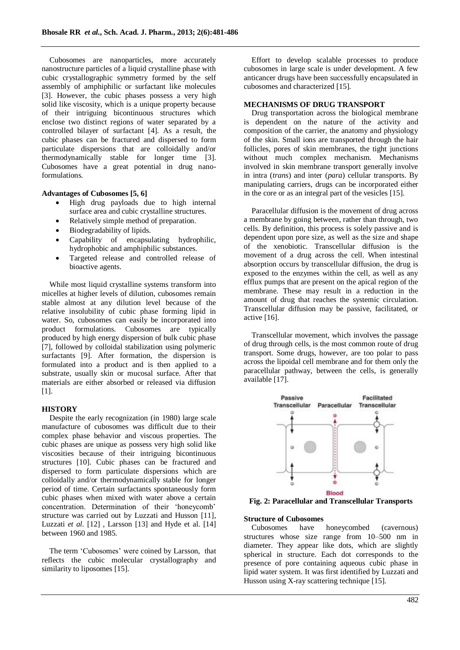Cubosomes are nanoparticles, more accurately nanostructure particles of a liquid crystalline phase with cubic crystallographic symmetry formed by the self assembly of amphiphilic or surfactant like molecules [3]. However, the cubic phases possess a very high solid like viscosity, which is a unique property because of their intriguing bicontinuous structures which enclose two distinct regions of water separated by a controlled bilayer of surfactant [4]. As a result, the cubic phases can be fractured and dispersed to form particulate dispersions that are colloidally and/or thermodynamically stable for longer time [3]. Cubosomes have a great potential in drug nanoformulations.

**Advantages of Cubosomes [5, 6]**

- High drug payloads due to high internal surface area and cubic crystalline structures.
- Relatively simple method of preparation.
- Biodegradability of lipids.
- Capability of encapsulating hydrophilic, hydrophobic and amphiphilic substances.
- Targeted release and controlled release of bioactive agents.

While most liquid crystalline systems transform into micelles at higher levels of dilution, cubosomes remain stable almost at any dilution level because of the relative insolubility of cubic phase forming lipid in water. So, cubosomes can easily be incorporated into product formulations. Cubosomes are typically produced by high energy dispersion of bulk cubic phase [7], followed by colloidal stabilization using polymeric surfactants [9]. After formation, the dispersion is formulated into a product and is then applied to a substrate, usually skin or mucosal surface. After that materials are either absorbed or released via diffusion [1].

#### **HISTORY**

Despite the early recognization (in 1980) large scale manufacture of cubosomes was difficult due to their complex phase behavior and viscous properties. The cubic phases are unique as possess very high solid like viscosities because of their intriguing bicontinuous structures [10]. Cubic phases can be fractured and dispersed to form particulate dispersions which are colloidally and/or thermodynamically stable for longer period of time. Certain surfactants spontaneously form cubic phases when mixed with water above a certain concentration. Determination of their 'honeycomb' structure was carried out by Luzzati and Husson [11], Luzzati *et al.* [12] , Larsson [13] and Hyde et al. [14] between 1960 and 1985.

The term 'Cubosomes' were coined by Larsson, that reflects the cubic molecular crystallography and similarity to liposomes [15].

Effort to develop scalable processes to produce cubosomes in large scale is under development. A few anticancer drugs have been successfully encapsulated in cubosomes and characterized [15].

#### **MECHANISMS OF DRUG TRANSPORT**

Drug transportation across the biological membrane is dependent on the nature of the activity and composition of the carrier, the anatomy and physiology of the skin. Small ions are transported through the hair follicles, pores of skin membranes, the tight junctions without much complex mechanism. Mechanisms involved in skin membrane transport generally involve in intra (*trans*) and inter (*para*) cellular transports. By manipulating carriers, drugs can be incorporated either in the core or as an integral part of the vesicles [15].

Paracellular diffusion is the movement of drug across a membrane by going between, rather than through, two cells. By definition, this process is solely passive and is dependent upon pore size, as well as the size and shape of the xenobiotic. Transcellular diffusion is the movement of a drug across the cell. When intestinal absorption occurs by transcellular diffusion, the drug is exposed to the enzymes within the cell, as well as any efflux pumps that are present on the apical region of the membrane. These may result in a reduction in the amount of drug that reaches the systemic circulation. Transcellular diffusion may be passive, facilitated, or active [16].

Transcellular movement, which involves the passage of drug through cells, is the most common route of drug transport. Some drugs, however, are too polar to pass across the lipoidal cell membrane and for them only the paracellular pathway, between the cells, is generally available [17].



**Fig. 2: Paracellular and Transcellular Transports**

#### **Structure of Cubosomes**

Cubosomes have honeycombed (cavernous) structures whose size range from 10–500 nm in diameter. They appear like dots, which are slightly spherical in structure. Each dot corresponds to the presence of pore containing aqueous cubic phase in lipid water system. It was first identified by Luzzati and Husson using X-ray scattering technique [15].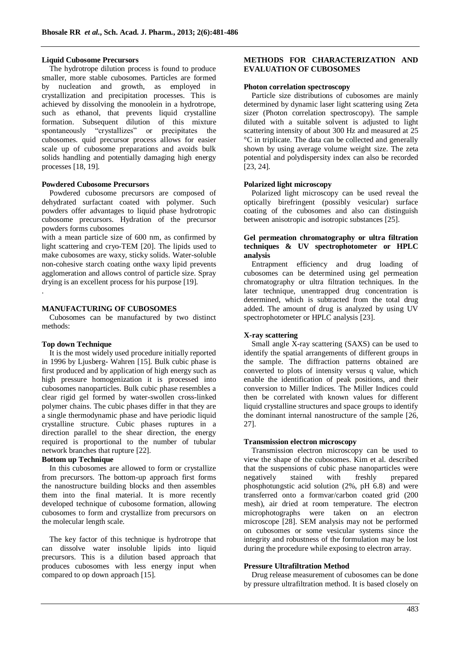#### **Liquid Cubosome Precursors**

The hydrotrope dilution process is found to produce smaller, more stable cubosomes. Particles are formed by nucleation and growth, as employed in crystallization and precipitation processes. This is achieved by dissolving the monoolein in a hydrotrope, such as ethanol, that prevents liquid crystalline formation. Subsequent dilution of this mixture spontaneously "crystallizes" or precipitates the cubosomes. quid precursor process allows for easier scale up of cubosome preparations and avoids bulk solids handling and potentially damaging high energy processes [18, 19].

#### **Powdered Cubosome Precursors**

Powdered cubosome precursors are composed of dehydrated surfactant coated with polymer. Such powders offer advantages to liquid phase hydrotropic cubosome precursors. Hydration of the precursor powders forms cubosomes

with a mean particle size of 600 nm, as confirmed by light scattering and cryo-TEM [20]. The lipids used to make cubosomes are waxy, sticky solids. Water-soluble non-cohesive starch coating onthe waxy lipid prevents agglomeration and allows control of particle size. Spray drying is an excellent process for his purpose [19]. .

# **MANUFACTURING OF CUBOSOMES**

Cubosomes can be manufactured by two distinct methods:

## **Top down Technique**

It is the most widely used procedure initially reported in 1996 by Ljusberg- Wahren [15]. Bulk cubic phase is first produced and by application of high energy such as high pressure homogenization it is processed into cubosomes nanoparticles. Bulk cubic phase resembles a clear rigid gel formed by water-swollen cross-linked polymer chains. The cubic phases differ in that they are a single thermodynamic phase and have periodic liquid crystalline structure. Cubic phases ruptures in a direction parallel to the shear direction, the energy required is proportional to the number of tubular network branches that rupture [22].

## **Bottom up Technique**

In this cubosomes are allowed to form or crystallize from precursors. The bottom-up approach first forms the nanostructure building blocks and then assembles them into the final material. It is more recently developed technique of cubosome formation, allowing cubosomes to form and crystallize from precursors on the molecular length scale.

The key factor of this technique is hydrotrope that can dissolve water insoluble lipids into liquid precursors. This is a dilution based approach that produces cubosomes with less energy input when compared to op down approach [15].

## **METHODS FOR CHARACTERIZATION AND EVALUATION OF CUBOSOMES**

#### **Photon correlation spectroscopy**

Particle size distributions of cubosomes are mainly determined by dynamic laser light scattering using Zeta sizer (Photon correlation spectroscopy). The sample diluted with a suitable solvent is adjusted to light scattering intensity of about 300 Hz and measured at 25 °C in triplicate. The data can be collected and generally shown by using average volume weight size. The zeta potential and polydispersity index can also be recorded [23, 24].

#### **Polarized light microscopy**

Polarized light microscopy can be used reveal the optically birefringent (possibly vesicular) surface coating of the cubosomes and also can distinguish between anisotropic and isotropic substances [25].

## **Gel permeation chromatography or ultra filtration techniques & UV spectrophotometer or HPLC analysis**

Entrapment efficiency and drug loading of cubosomes can be determined using gel permeation chromatography or ultra filtration techniques. In the later technique, unentrapped drug concentration is determined, which is subtracted from the total drug added. The amount of drug is analyzed by using UV spectrophotometer or HPLC analysis [23].

## **X-ray scattering**

Small angle X-ray scattering (SAXS) can be used to identify the spatial arrangements of different groups in the sample. The diffraction patterns obtained are converted to plots of intensity versus q value, which enable the identification of peak positions, and their conversion to Miller Indices. The Miller Indices could then be correlated with known values for different liquid crystalline structures and space groups to identify the dominant internal nanostructure of the sample [26, 27].

#### **Transmission electron microscopy**

Transmission electron microscopy can be used to view the shape of the cubosomes. Kim et al. described that the suspensions of cubic phase nanoparticles were<br>negatively stained with freshly prepared negatively stained with freshly phosphotungstic acid solution (2%, pH 6.8) and were transferred onto a formvar/carbon coated grid (200 mesh), air dried at room temperature. The electron microphotographs were taken on an electron microscope [28]. SEM analysis may not be performed on cubosomes or some vesicular systems since the integrity and robustness of the formulation may be lost during the procedure while exposing to electron array.

## **Pressure Ultrafiltration Method**

Drug release measurement of cubosomes can be done by pressure ultrafiltration method. It is based closely on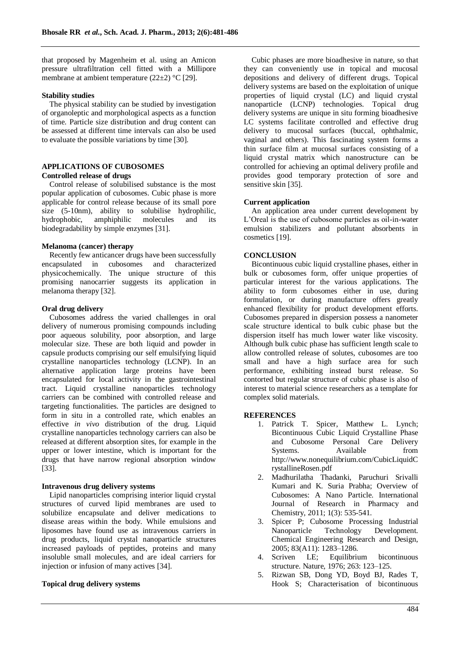that proposed by Magenheim et al. using an Amicon pressure ultrafiltration cell fitted with a Millipore membrane at ambient temperature (22±2) °C [29].

#### **Stability studies**

The physical stability can be studied by investigation of organoleptic and morphological aspects as a function of time. Particle size distribution and drug content can be assessed at different time intervals can also be used to evaluate the possible variations by time [30].

# **APPLICATIONS OF CUBOSOMES**

# **Controlled release of drugs**

Control release of solubilised substance is the most popular application of cubosomes. Cubic phase is more applicable for control release because of its small pore size (5-10nm), ability to solubilise hydrophilic, hydrophobic, amphiphilic molecules and its biodegradability by simple enzymes [31].

## **Melanoma (cancer) therapy**

Recently few anticancer drugs have been successfully encapsulated in cubosomes and characterized physicochemically. The unique structure of this promising nanocarrier suggests its application in melanoma therapy [32].

#### **Oral drug delivery**

Cubosomes address the varied challenges in oral delivery of numerous promising compounds including poor aqueous solubility, poor absorption, and large molecular size. These are both liquid and powder in capsule products comprising our self emulsifying liquid crystalline nanoparticles technology (LCNP). In an alternative application large proteins have been encapsulated for local activity in the gastrointestinal tract. Liquid crystalline nanoparticles technology carriers can be combined with controlled release and targeting functionalities. The particles are designed to form in situ in a controlled rate, which enables an effective *in vivo* distribution of the drug. Liquid crystalline nanoparticles technology carriers can also be released at different absorption sites, for example in the upper or lower intestine, which is important for the drugs that have narrow regional absorption window [33].

#### **Intravenous drug delivery systems**

Lipid nanoparticles comprising interior liquid crystal structures of curved lipid membranes are used to solubilize encapsulate and deliver medications to disease areas within the body. While emulsions and liposomes have found use as intravenous carriers in drug products, liquid crystal nanoparticle structures increased payloads of peptides, proteins and many insoluble small molecules, and are ideal carriers for injection or infusion of many actives [34].

## **Topical drug delivery systems**

Cubic phases are more bioadhesive in nature, so that they can conveniently use in topical and mucosal depositions and delivery of different drugs. Topical delivery systems are based on the exploitation of unique properties of liquid crystal (LC) and liquid crystal nanoparticle (LCNP) technologies. Topical drug delivery systems are unique in situ forming bioadhesive LC systems facilitate controlled and effective drug delivery to mucosal surfaces (buccal, ophthalmic, vaginal and others). This fascinating system forms a thin surface film at mucosal surfaces consisting of a liquid crystal matrix which nanostructure can be controlled for achieving an optimal delivery profile and provides good temporary protection of sore and sensitive skin [35].

## **Current application**

An application area under current development by L"Oreal is the use of cubosome particles as oil-in-water emulsion stabilizers and pollutant absorbents in cosmetics [19].

## **CONCLUSION**

Bicontinuous cubic liquid crystalline phases, either in bulk or cubosomes form, offer unique properties of particular interest for the various applications. The ability to form cubosomes either in use, during formulation, or during manufacture offers greatly enhanced flexibility for product development efforts. Cubosomes prepared in dispersion possess a nanometer scale structure identical to bulk cubic phase but the dispersion itself has much lower water like viscosity. Although bulk cubic phase has sufficient length scale to allow controlled release of solutes, cubosomes are too small and have a high surface area for such performance, exhibiting instead burst release. So contorted but regular structure of cubic phase is also of interest to material science researchers as a template for complex solid materials.

## **REFERENCES**

- 1. Patrick T. Spicer, Matthew L. Lynch; Bicontinuous Cubic Liquid Crystalline Phase and Cubosome Personal Care Delivery Systems. Available from http://www.nonequilibrium.com/CubicLiquidC rystallineRosen.pdf
- 2. Madhurilatha Thadanki, Paruchuri Srivalli Kumari and K. Suria Prabha; Overview of Cubosomes: A Nano Particle. International Journal of Research in Pharmacy and Chemistry, 2011; 1(3): 535-541.
- 3. Spicer P; Cubosome Processing Industrial Nanoparticle Technology Development. Chemical Engineering Research and Design, 2005; 83(A11): 1283–1286.
- 4. Scriven LE; Equilibrium bicontinuous structure. Nature, 1976; 263: 123–125.
- 5. Rizwan SB, Dong YD, Boyd BJ, Rades T, Hook S; Characterisation of bicontinuous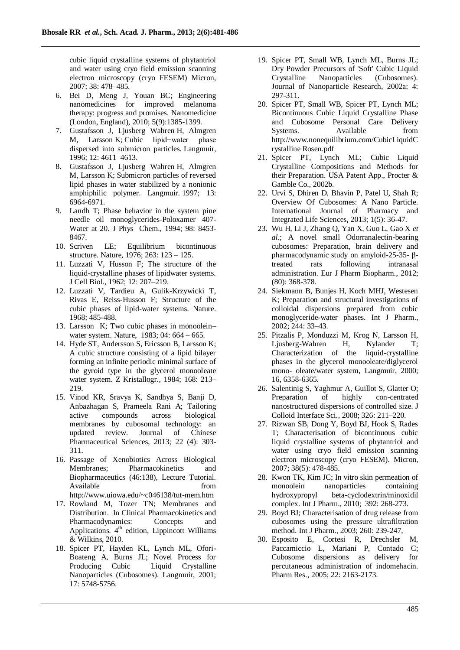cubic liquid crystalline systems of phytantriol and water using cryo field emission scanning electron microscopy (cryo FESEM) Micron, 2007; 38: 478–485.

- 6. Bei D, Meng J, Youan BC; Engineering nanomedicines for improved melanoma therapy: progress and promises. Nanomedicine (London, England), 2010; 5(9):1385-1399.
- 7. Gustafsson J, Ljusberg Wahren H, Almgren M, Larsson K; Cubic lipid−water phase dispersed into submicron particles. Langmuir, 1996; 12: 4611–4613.
- 8. Gustafsson J, Ljusberg Wahren H, Almgren M, Larsson K; Submicron particles of reversed lipid phases in water stabilized by a nonionic amphiphilic polymer. Langmuir. 1997; 13: 6964-6971.
- 9. Landh T; Phase behavior in the system pine needle oil monoglycerides-Poloxamer 407- Water at 20. J Phys Chem., 1994; 98: 8453- 8467.
- 10. Scriven LE; Equilibrium bicontinuous structure. Nature, 1976; 263: 123 – 125.
- 11. Luzzati V, Husson F; The structure of the liquid-crystalline phases of lipidwater systems. J Cell Biol., 1962; 12: 207–219.
- 12. Luzzati V, Tardieu A, Gulik-Krzywicki T, Rivas E, Reiss-Husson F; Structure of the cubic phases of lipid-water systems. Nature. 1968; 485-488.
- 13. Larsson K; Two cubic phases in monoolein– water system. Nature, 1983; 04: 664 – 665.
- 14. Hyde ST, Andersson S, Ericsson B, Larsson K; A cubic structure consisting of a lipid bilayer forming an infinite periodic minimal surface of the gyroid type in the glycerol monooleate water system. Z Kristallogr., 1984; 168: 213– 219.
- 15. Vinod KR, Sravya K, Sandhya S, Banji D, Anbazhagan S, Prameela Rani A; Tailoring active compounds across biological membranes by cubosomal technology: an updated review. Journal of Chinese Pharmaceutical Sciences, 2013; 22 (4): 303- 311.
- 16. Passage of Xenobiotics Across Biological Membranes; Pharmacokinetics and Biopharmaceutics (46:138), Lecture Tutorial. Available from from http://www.uiowa.edu/~c046138/tut-mem.htm
- 17. Rowland M, Tozer TN; Membranes and Distribution. In Clinical Pharmacokinetics and Pharmacodynamics: Concepts and Applications.  $4<sup>th</sup>$  edition, Lippincott Williams & Wilkins, 2010.
- 18. Spicer PT, Hayden KL, Lynch ML, Ofori-Boateng A, Burns JL; Novel Process for Producing Cubic Liquid Crystalline Nanoparticles (Cubosomes). Langmuir, 2001; 17: 5748-5756.
- 19. Spicer PT, Small WB, Lynch ML, Burns JL; Dry Powder Precursors of 'Soft' Cubic Liquid Crystalline Nanoparticles (Cubosomes). Journal of Nanoparticle Research, 2002a; 4: 297-311.
- 20. Spicer PT, Small WB, Spicer PT, Lynch ML; Bicontinuous Cubic Liquid Crystalline Phase and Cubosome Personal Care Delivery Systems. Available from http://www.nonequilibrium.com/CubicLiquidC rystalline Rosen.pdf
- 21. Spicer PT, Lynch ML; Cubic Liquid Crystalline Compositions and Methods for their Preparation. USA Patent App., Procter & Gamble Co., 2002b.
- 22. Urvi S, Dhiren D, Bhavin P, Patel U, Shah R; Overview Of Cubosomes: A Nano Particle. International Journal of Pharmacy and Integrated Life Sciences, 2013; 1(5): 36-47.
- 23. Wu H, Li J, Zhang Q, Yan X, Guo L, Gao X *et al.*; A novel small Odorranalectin-bearing cubosomes: Preparation, brain delivery and pharmacodynamic study on amyloid-25-35- βtreated rats following intranasal administration. Eur J Pharm Biopharm., 2012; (80): 368-378.
- 24. Siekmann B, Bunjes H, Koch MHJ, Westesen K; Preparation and structural investigations of colloidal dispersions prepared from cubic monoglyceride-water phases. Int J Pharm., 2002; 244: 33–43.
- 25. Pitzalis P, Monduzzi M, Krog N, Larsson H, Ljusberg-Wahren H, Nylander T; Characterization of the liquid-crystalline phases in the glycerol monooleate/diglycerol mono- oleate/water system, Langmuir, 2000; 16, 6358-6365.
- 26. Salentinig S, Yaghmur A, Guillot S, Glatter O; Preparation of highly con-centrated nanostructured dispersions of controlled size. J Colloid Interface Sci., 2008; 326: 211–220.
- 27. Rizwan SB, Dong Y, Boyd BJ, Hook S, Rades T; Characterisation of bicontinuous cubic liquid crystalline systems of phytantriol and water using cryo field emission scanning electron microscopy (cryo FESEM). Micron, 2007; 38(5): 478-485.
- 28. Kwon TK, Kim JC; In vitro skin permeation of monoolein nanoparticles containing hydroxypropyl beta-cyclodextrin/minoxidil complex. Int J Pharm., 2010; 392: 268-273.
- 29. Boyd BJ; Characterisation of drug release from cubosomes using the pressure ultrafiltration method. Int J Pharm., 2003; 260: 239-247,
- 30. Esposito E, Cortesi R, Drechsler M, Paccamiccio L, Mariani P, Contado C; Cubosome dispersions as delivery for percutaneous administration of indomehacin. Pharm Res., 2005; 22: 2163-2173.